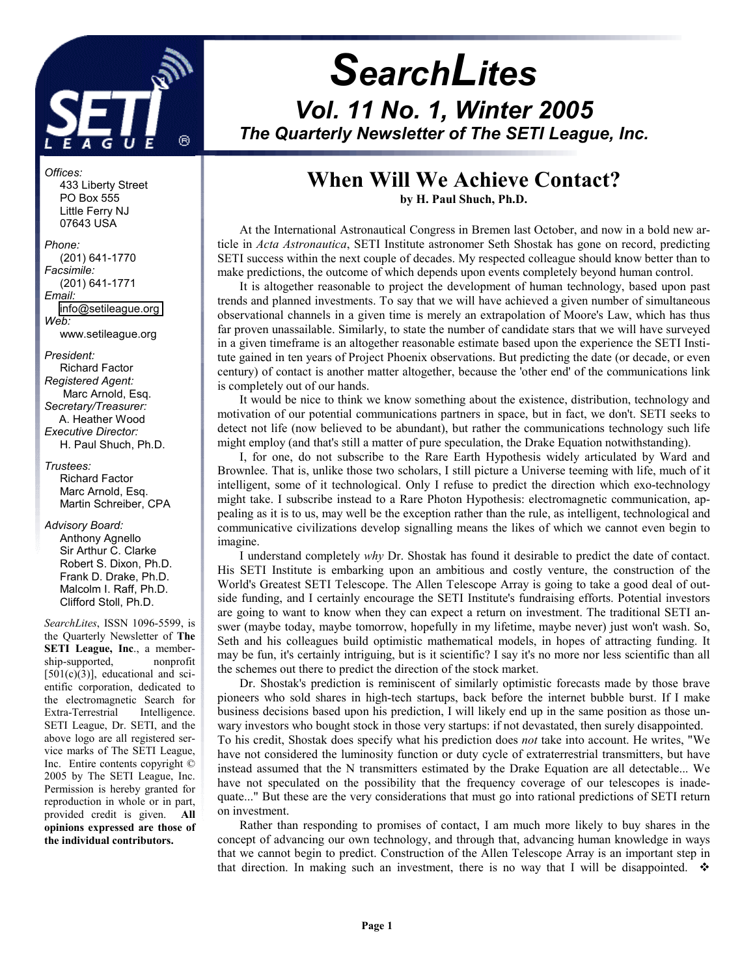

# *SearchLites Vol. 11 No. 1, Winter 2005 The Quarterly Newsletter of The SETI League, Inc.*

# **When Will We Achieve Contact?**

**by H. Paul Shuch, Ph.D.**

At the International Astronautical Congress in Bremen last October, and now in a bold new article in *Acta Astronautica*, SETI Institute astronomer Seth Shostak has gone on record, predicting SETI success within the next couple of decades. My respected colleague should know better than to make predictions, the outcome of which depends upon events completely beyond human control.

It is altogether reasonable to project the development of human technology, based upon past trends and planned investments. To say that we will have achieved a given number of simultaneous observational channels in a given time is merely an extrapolation of Moore's Law, which has thus far proven unassailable. Similarly, to state the number of candidate stars that we will have surveyed in a given timeframe is an altogether reasonable estimate based upon the experience the SETI Institute gained in ten years of Project Phoenix observations. But predicting the date (or decade, or even century) of contact is another matter altogether, because the 'other end' of the communications link is completely out of our hands.

It would be nice to think we know something about the existence, distribution, technology and motivation of our potential communications partners in space, but in fact, we don't. SETI seeks to detect not life (now believed to be abundant), but rather the communications technology such life might employ (and that's still a matter of pure speculation, the Drake Equation notwithstanding).

I, for one, do not subscribe to the Rare Earth Hypothesis widely articulated by Ward and Brownlee. That is, unlike those two scholars, I still picture a Universe teeming with life, much of it intelligent, some of it technological. Only I refuse to predict the direction which exo-technology might take. I subscribe instead to a Rare Photon Hypothesis: electromagnetic communication, appealing as it is to us, may well be the exception rather than the rule, as intelligent, technological and communicative civilizations develop signalling means the likes of which we cannot even begin to imagine.

I understand completely *why* Dr. Shostak has found it desirable to predict the date of contact. His SETI Institute is embarking upon an ambitious and costly venture, the construction of the World's Greatest SETI Telescope. The Allen Telescope Array is going to take a good deal of outside funding, and I certainly encourage the SETI Institute's fundraising efforts. Potential investors are going to want to know when they can expect a return on investment. The traditional SETI answer (maybe today, maybe tomorrow, hopefully in my lifetime, maybe never) just won't wash. So, Seth and his colleagues build optimistic mathematical models, in hopes of attracting funding. It may be fun, it's certainly intriguing, but is it scientific? I say it's no more nor less scientific than all the schemes out there to predict the direction of the stock market.

Dr. Shostak's prediction is reminiscent of similarly optimistic forecasts made by those brave pioneers who sold shares in high-tech startups, back before the internet bubble burst. If I make business decisions based upon his prediction, I will likely end up in the same position as those unwary investors who bought stock in those very startups: if not devastated, then surely disappointed. To his credit, Shostak does specify what his prediction does *not* take into account. He writes, "We have not considered the luminosity function or duty cycle of extraterrestrial transmitters, but have instead assumed that the N transmitters estimated by the Drake Equation are all detectable... We have not speculated on the possibility that the frequency coverage of our telescopes is inadequate..." But these are the very considerations that must go into rational predictions of SETI return on investment.

Rather than responding to promises of contact, I am much more likely to buy shares in the concept of advancing our own technology, and through that, advancing human knowledge in ways that we cannot begin to predict. Construction of the Allen Telescope Array is an important step in that direction. In making such an investment, there is no way that I will be disappointed.  $\bullet$ 

*Offices:* 433 Liberty Street PO Box 555 Little Ferry NJ 07643 USA

*Phone:*  (201) 641-1770 *Facsimile:*  (201) 641-1771 *Email:*  [info@setileague.org](mailto:Info@setileague.org)  *Web:* www.setileague.org

*President:*  Richard Factor *Registered Agent:*  Marc Arnold, Esq. *Secretary/Treasurer:*  A. Heather Wood *Executive Director:*  H. Paul Shuch, Ph.D.

*Trustees:* Richard Factor Marc Arnold, Esq. Martin Schreiber, CPA

*Advisory Board:* 

 Anthony Agnello Sir Arthur C. Clarke Robert S. Dixon, Ph.D. Frank D. Drake, Ph.D. Malcolm I. Raff, Ph.D. Clifford Stoll, Ph.D.

*SearchLites*, ISSN 1096-5599, is the Quarterly Newsletter of **The SETI League, Inc**., a membership-supported, nonprofit [501(c)(3)], educational and scientific corporation, dedicated to the electromagnetic Search for Extra-Terrestrial Intelligence. SETI League, Dr. SETI, and the above logo are all registered service marks of The SETI League, Inc. Entire contents copyright © 2005 by The SETI League, Inc. Permission is hereby granted for reproduction in whole or in part, provided credit is given. **All opinions expressed are those of the individual contributors.**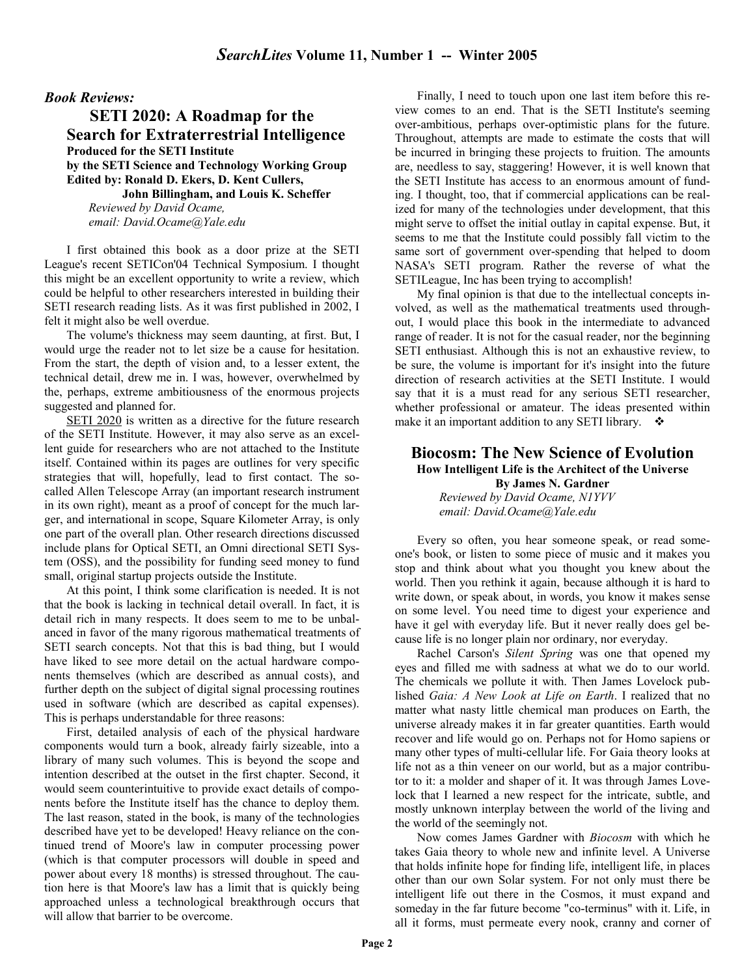#### *Book Reviews:*

**SETI 2020: A Roadmap for the Search for Extraterrestrial Intelligence Produced for the SETI Institute by the SETI Science and Technology Working Group Edited by: Ronald D. Ekers, D. Kent Cullers, John Billingham, and Louis K. Scheffer**  *Reviewed by David Ocame, email: David.Ocame@Yale.edu* 

I first obtained this book as a door prize at the SETI League's recent SETICon'04 Technical Symposium. I thought this might be an excellent opportunity to write a review, which could be helpful to other researchers interested in building their SETI research reading lists. As it was first published in 2002, I felt it might also be well overdue.

The volume's thickness may seem daunting, at first. But, I would urge the reader not to let size be a cause for hesitation. From the start, the depth of vision and, to a lesser extent, the technical detail, drew me in. I was, however, overwhelmed by the, perhaps, extreme ambitiousness of the enormous projects suggested and planned for.

SETI 2020 is written as a directive for the future research of the SETI Institute. However, it may also serve as an excellent guide for researchers who are not attached to the Institute itself. Contained within its pages are outlines for very specific strategies that will, hopefully, lead to first contact. The socalled Allen Telescope Array (an important research instrument in its own right), meant as a proof of concept for the much larger, and international in scope, Square Kilometer Array, is only one part of the overall plan. Other research directions discussed include plans for Optical SETI, an Omni directional SETI System (OSS), and the possibility for funding seed money to fund small, original startup projects outside the Institute.

At this point, I think some clarification is needed. It is not that the book is lacking in technical detail overall. In fact, it is detail rich in many respects. It does seem to me to be unbalanced in favor of the many rigorous mathematical treatments of SETI search concepts. Not that this is bad thing, but I would have liked to see more detail on the actual hardware components themselves (which are described as annual costs), and further depth on the subject of digital signal processing routines used in software (which are described as capital expenses). This is perhaps understandable for three reasons:

First, detailed analysis of each of the physical hardware components would turn a book, already fairly sizeable, into a library of many such volumes. This is beyond the scope and intention described at the outset in the first chapter. Second, it would seem counterintuitive to provide exact details of components before the Institute itself has the chance to deploy them. The last reason, stated in the book, is many of the technologies described have yet to be developed! Heavy reliance on the continued trend of Moore's law in computer processing power (which is that computer processors will double in speed and power about every 18 months) is stressed throughout. The caution here is that Moore's law has a limit that is quickly being approached unless a technological breakthrough occurs that will allow that barrier to be overcome.

Finally, I need to touch upon one last item before this review comes to an end. That is the SETI Institute's seeming over-ambitious, perhaps over-optimistic plans for the future. Throughout, attempts are made to estimate the costs that will be incurred in bringing these projects to fruition. The amounts are, needless to say, staggering! However, it is well known that the SETI Institute has access to an enormous amount of funding. I thought, too, that if commercial applications can be realized for many of the technologies under development, that this might serve to offset the initial outlay in capital expense. But, it seems to me that the Institute could possibly fall victim to the same sort of government over-spending that helped to doom NASA's SETI program. Rather the reverse of what the SETILeague, Inc has been trying to accomplish!

My final opinion is that due to the intellectual concepts involved, as well as the mathematical treatments used throughout, I would place this book in the intermediate to advanced range of reader. It is not for the casual reader, nor the beginning SETI enthusiast. Although this is not an exhaustive review, to be sure, the volume is important for it's insight into the future direction of research activities at the SETI Institute. I would say that it is a must read for any serious SETI researcher, whether professional or amateur. The ideas presented within make it an important addition to any SETI library.  $\bullet$ 

#### **Biocosm: The New Science of Evolution How Intelligent Life is the Architect of the Universe By James N. Gardner**

*Reviewed by David Ocame, N1YVV email: David.Ocame@Yale.edu* 

Every so often, you hear someone speak, or read someone's book, or listen to some piece of music and it makes you stop and think about what you thought you knew about the world. Then you rethink it again, because although it is hard to write down, or speak about, in words, you know it makes sense on some level. You need time to digest your experience and have it gel with everyday life. But it never really does gel because life is no longer plain nor ordinary, nor everyday.

Rachel Carson's *Silent Spring* was one that opened my eyes and filled me with sadness at what we do to our world. The chemicals we pollute it with. Then James Lovelock published *Gaia: A New Look at Life on Earth*. I realized that no matter what nasty little chemical man produces on Earth, the universe already makes it in far greater quantities. Earth would recover and life would go on. Perhaps not for Homo sapiens or many other types of multi-cellular life. For Gaia theory looks at life not as a thin veneer on our world, but as a major contributor to it: a molder and shaper of it. It was through James Lovelock that I learned a new respect for the intricate, subtle, and mostly unknown interplay between the world of the living and the world of the seemingly not.

Now comes James Gardner with *Biocosm* with which he takes Gaia theory to whole new and infinite level. A Universe that holds infinite hope for finding life, intelligent life, in places other than our own Solar system. For not only must there be intelligent life out there in the Cosmos, it must expand and someday in the far future become "co-terminus" with it. Life, in all it forms, must permeate every nook, cranny and corner of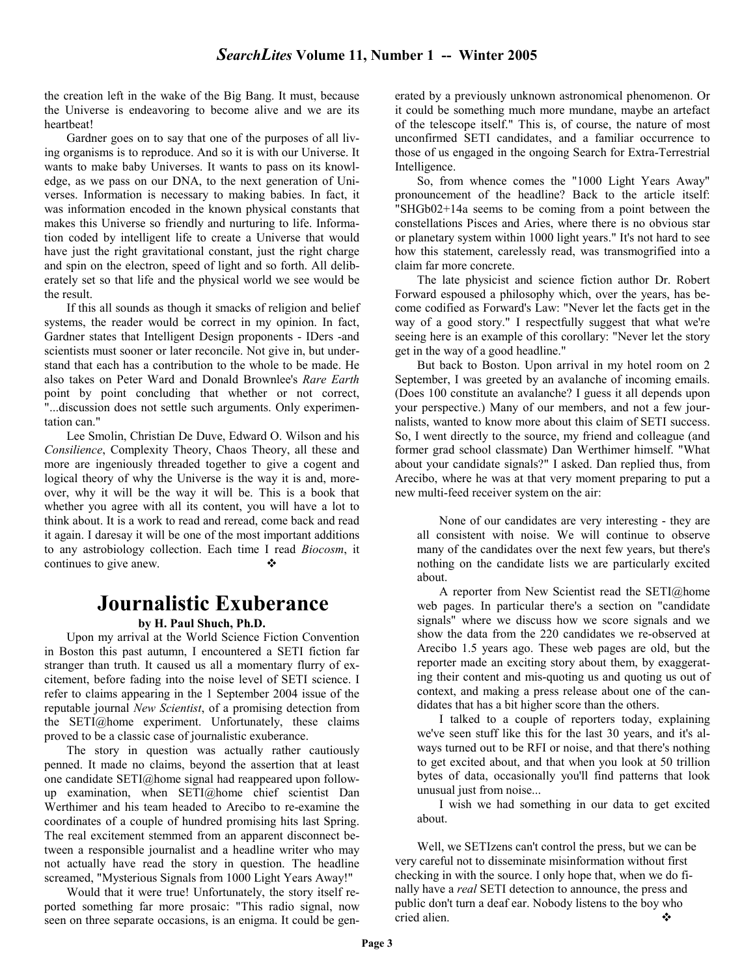the creation left in the wake of the Big Bang. It must, because the Universe is endeavoring to become alive and we are its heartbeat!

Gardner goes on to say that one of the purposes of all living organisms is to reproduce. And so it is with our Universe. It wants to make baby Universes. It wants to pass on its knowledge, as we pass on our DNA, to the next generation of Universes. Information is necessary to making babies. In fact, it was information encoded in the known physical constants that makes this Universe so friendly and nurturing to life. Information coded by intelligent life to create a Universe that would have just the right gravitational constant, just the right charge and spin on the electron, speed of light and so forth. All deliberately set so that life and the physical world we see would be the result.

If this all sounds as though it smacks of religion and belief systems, the reader would be correct in my opinion. In fact, Gardner states that Intelligent Design proponents - IDers -and scientists must sooner or later reconcile. Not give in, but understand that each has a contribution to the whole to be made. He also takes on Peter Ward and Donald Brownlee's *Rare Earth* point by point concluding that whether or not correct, "...discussion does not settle such arguments. Only experimentation can."

Lee Smolin, Christian De Duve, Edward O. Wilson and his *Consilience*, Complexity Theory, Chaos Theory, all these and more are ingeniously threaded together to give a cogent and logical theory of why the Universe is the way it is and, moreover, why it will be the way it will be. This is a book that whether you agree with all its content, you will have a lot to think about. It is a work to read and reread, come back and read it again. I daresay it will be one of the most important additions to any astrobiology collection. Each time I read *Biocosm*, it continues to give anew.

# **Journalistic Exuberance**

#### **by H. Paul Shuch, Ph.D.**

Upon my arrival at the World Science Fiction Convention in Boston this past autumn, I encountered a SETI fiction far stranger than truth. It caused us all a momentary flurry of excitement, before fading into the noise level of SETI science. I refer to claims appearing in the 1 September 2004 issue of the reputable journal *New Scientist*, of a promising detection from the SETI@home experiment. Unfortunately, these claims proved to be a classic case of journalistic exuberance.

The story in question was actually rather cautiously penned. It made no claims, beyond the assertion that at least one candidate SETI@home signal had reappeared upon followup examination, when SETI@home chief scientist Dan Werthimer and his team headed to Arecibo to re-examine the coordinates of a couple of hundred promising hits last Spring. The real excitement stemmed from an apparent disconnect between a responsible journalist and a headline writer who may not actually have read the story in question. The headline screamed, "Mysterious Signals from 1000 Light Years Away!"

Would that it were true! Unfortunately, the story itself reported something far more prosaic: "This radio signal, now seen on three separate occasions, is an enigma. It could be generated by a previously unknown astronomical phenomenon. Or it could be something much more mundane, maybe an artefact of the telescope itself." This is, of course, the nature of most unconfirmed SETI candidates, and a familiar occurrence to those of us engaged in the ongoing Search for Extra-Terrestrial Intelligence.

So, from whence comes the "1000 Light Years Away" pronouncement of the headline? Back to the article itself: "SHGb02+14a seems to be coming from a point between the constellations Pisces and Aries, where there is no obvious star or planetary system within 1000 light years." It's not hard to see how this statement, carelessly read, was transmogrified into a claim far more concrete.

The late physicist and science fiction author Dr. Robert Forward espoused a philosophy which, over the years, has become codified as Forward's Law: "Never let the facts get in the way of a good story." I respectfully suggest that what we're seeing here is an example of this corollary: "Never let the story get in the way of a good headline."

But back to Boston. Upon arrival in my hotel room on 2 September, I was greeted by an avalanche of incoming emails. (Does 100 constitute an avalanche? I guess it all depends upon your perspective.) Many of our members, and not a few journalists, wanted to know more about this claim of SETI success. So, I went directly to the source, my friend and colleague (and former grad school classmate) Dan Werthimer himself. "What about your candidate signals?" I asked. Dan replied thus, from Arecibo, where he was at that very moment preparing to put a new multi-feed receiver system on the air:

None of our candidates are very interesting - they are all consistent with noise. We will continue to observe many of the candidates over the next few years, but there's nothing on the candidate lists we are particularly excited about.

A reporter from New Scientist read the SETI@home web pages. In particular there's a section on "candidate signals" where we discuss how we score signals and we show the data from the 220 candidates we re-observed at Arecibo 1.5 years ago. These web pages are old, but the reporter made an exciting story about them, by exaggerating their content and mis-quoting us and quoting us out of context, and making a press release about one of the candidates that has a bit higher score than the others.

I talked to a couple of reporters today, explaining we've seen stuff like this for the last 30 years, and it's always turned out to be RFI or noise, and that there's nothing to get excited about, and that when you look at 50 trillion bytes of data, occasionally you'll find patterns that look unusual just from noise...

I wish we had something in our data to get excited about.

Well, we SETIzens can't control the press, but we can be very careful not to disseminate misinformation without first checking in with the source. I only hope that, when we do finally have a *real* SETI detection to announce, the press and public don't turn a deaf ear. Nobody listens to the boy who cried alien.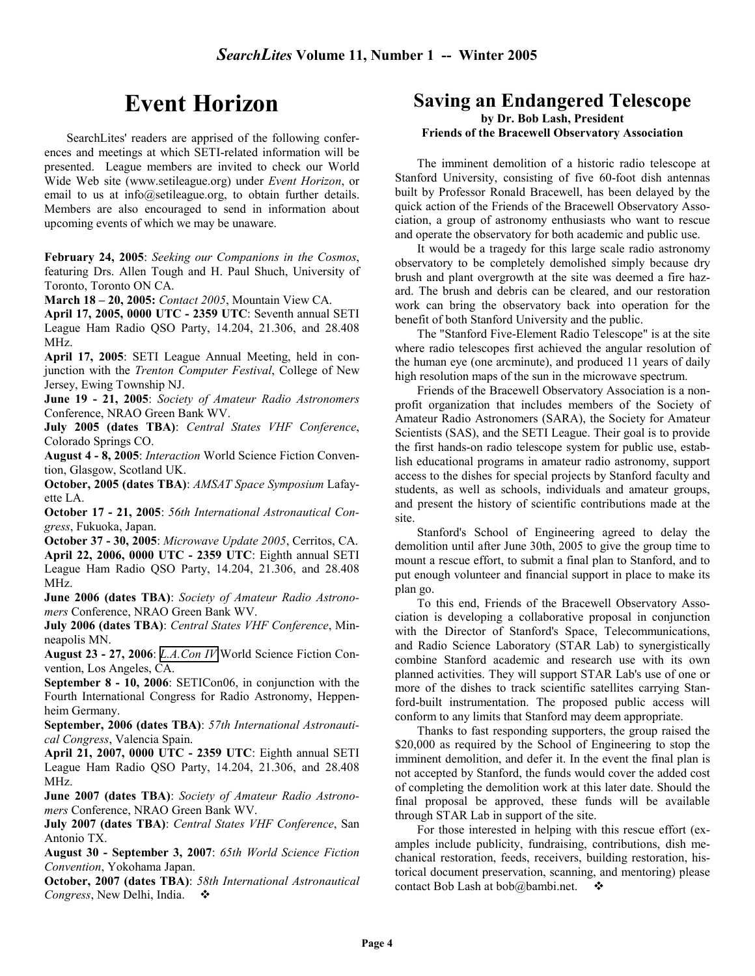# **Event Horizon**

SearchLites' readers are apprised of the following conferences and meetings at which SETI-related information will be presented. League members are invited to check our World Wide Web site (www.setileague.org) under *Event Horizon*, or email to us at info@setileague.org, to obtain further details. Members are also encouraged to send in information about upcoming events of which we may be unaware.

**February 24, 2005**: *Seeking our Companions in the Cosmos*, featuring Drs. Allen Tough and H. Paul Shuch, University of Toronto, Toronto ON CA.

**March 18 – 20, 2005:** *Contact 2005*, Mountain View CA.

**April 17, 2005, 0000 UTC - 2359 UTC**: Seventh annual SETI League Ham Radio QSO Party, 14.204, 21.306, and 28.408 MHz.

**April 17, 2005**: SETI League Annual Meeting, held in conjunction with the *Trenton Computer Festival*, College of New Jersey, Ewing Township NJ.

**June 19 - 21, 2005**: *Society of Amateur Radio Astronomers* Conference, NRAO Green Bank WV.

**July 2005 (dates TBA)**: *Central States VHF Conference*, Colorado Springs CO.

**August 4 - 8, 2005**: *Interaction* World Science Fiction Convention, Glasgow, Scotland UK.

**October, 2005 (dates TBA)**: *AMSAT Space Symposium* Lafayette LA.

**October 17 - 21, 2005**: *56th International Astronautical Congress*, Fukuoka, Japan.

**October 37 - 30, 2005**: *Microwave Update 2005*, Cerritos, CA. **April 22, 2006, 0000 UTC - 2359 UTC**: Eighth annual SETI League Ham Radio QSO Party, 14.204, 21.306, and 28.408 MHz.

**June 2006 (dates TBA)**: *Society of Amateur Radio Astronomers* Conference, NRAO Green Bank WV.

**July 2006 (dates TBA)**: *Central States VHF Conference*, Minneapolis MN.

**August 23 - 27, 2006**: *[L.A.Con IV](http://www.laconiv.com/)* World Science Fiction Convention, Los Angeles, CA.

**September 8 - 10, 2006**: SETICon06, in conjunction with the Fourth International Congress for Radio Astronomy, Heppenheim Germany.

**September, 2006 (dates TBA)**: *57th International Astronautical Congress*, Valencia Spain.

**April 21, 2007, 0000 UTC - 2359 UTC**: Eighth annual SETI League Ham Radio QSO Party, 14.204, 21.306, and 28.408 MHz.

**June 2007 (dates TBA)**: *Society of Amateur Radio Astronomers* Conference, NRAO Green Bank WV.

**July 2007 (dates TBA)**: *Central States VHF Conference*, San Antonio TX.

**August 30 - September 3, 2007**: *65th World Science Fiction Convention*, Yokohama Japan.

**October, 2007 (dates TBA)**: *58th International Astronautical Congress*, New Delhi, India.

## **Saving an Endangered Telescope**

#### **by Dr. Bob Lash, President Friends of the Bracewell Observatory Association**

The imminent demolition of a historic radio telescope at Stanford University, consisting of five 60-foot dish antennas built by Professor Ronald Bracewell, has been delayed by the quick action of the Friends of the Bracewell Observatory Association, a group of astronomy enthusiasts who want to rescue and operate the observatory for both academic and public use.

It would be a tragedy for this large scale radio astronomy observatory to be completely demolished simply because dry brush and plant overgrowth at the site was deemed a fire hazard. The brush and debris can be cleared, and our restoration work can bring the observatory back into operation for the benefit of both Stanford University and the public.

The "Stanford Five-Element Radio Telescope" is at the site where radio telescopes first achieved the angular resolution of the human eye (one arcminute), and produced 11 years of daily high resolution maps of the sun in the microwave spectrum.

Friends of the Bracewell Observatory Association is a nonprofit organization that includes members of the Society of Amateur Radio Astronomers (SARA), the Society for Amateur Scientists (SAS), and the SETI League. Their goal is to provide the first hands-on radio telescope system for public use, establish educational programs in amateur radio astronomy, support access to the dishes for special projects by Stanford faculty and students, as well as schools, individuals and amateur groups, and present the history of scientific contributions made at the site.

Stanford's School of Engineering agreed to delay the demolition until after June 30th, 2005 to give the group time to mount a rescue effort, to submit a final plan to Stanford, and to put enough volunteer and financial support in place to make its plan go.

To this end, Friends of the Bracewell Observatory Association is developing a collaborative proposal in conjunction with the Director of Stanford's Space, Telecommunications, and Radio Science Laboratory (STAR Lab) to synergistically combine Stanford academic and research use with its own planned activities. They will support STAR Lab's use of one or more of the dishes to track scientific satellites carrying Stanford-built instrumentation. The proposed public access will conform to any limits that Stanford may deem appropriate.

Thanks to fast responding supporters, the group raised the \$20,000 as required by the School of Engineering to stop the imminent demolition, and defer it. In the event the final plan is not accepted by Stanford, the funds would cover the added cost of completing the demolition work at this later date. Should the final proposal be approved, these funds will be available through STAR Lab in support of the site.

For those interested in helping with this rescue effort (examples include publicity, fundraising, contributions, dish mechanical restoration, feeds, receivers, building restoration, historical document preservation, scanning, and mentoring) please contact Bob Lash at bob@bambi.net.  $\bullet$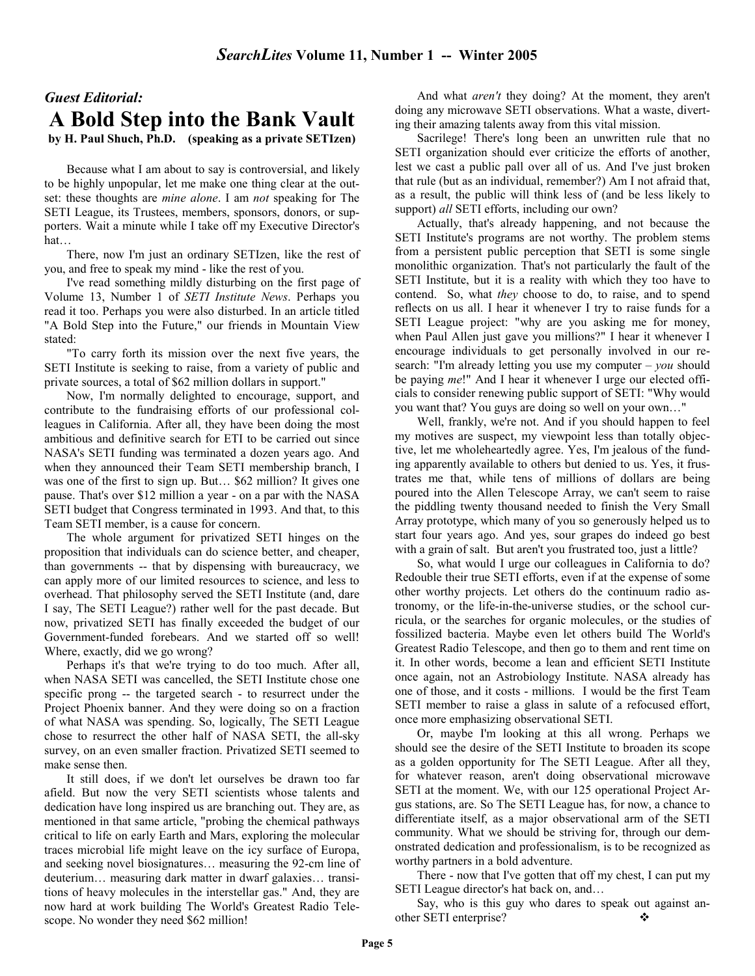## *Guest Editorial:*  **A Bold Step into the Bank Vault by H. Paul Shuch, Ph.D. (speaking as a private SETIzen)**

Because what I am about to say is controversial, and likely to be highly unpopular, let me make one thing clear at the outset: these thoughts are *mine alone*. I am *not* speaking for The SETI League, its Trustees, members, sponsors, donors, or supporters. Wait a minute while I take off my Executive Director's hat…

There, now I'm just an ordinary SETIzen, like the rest of you, and free to speak my mind - like the rest of you.

I've read something mildly disturbing on the first page of Volume 13, Number 1 of *SETI Institute News*. Perhaps you read it too. Perhaps you were also disturbed. In an article titled "A Bold Step into the Future," our friends in Mountain View stated:

"To carry forth its mission over the next five years, the SETI Institute is seeking to raise, from a variety of public and private sources, a total of \$62 million dollars in support."

Now, I'm normally delighted to encourage, support, and contribute to the fundraising efforts of our professional colleagues in California. After all, they have been doing the most ambitious and definitive search for ETI to be carried out since NASA's SETI funding was terminated a dozen years ago. And when they announced their Team SETI membership branch, I was one of the first to sign up. But... \$62 million? It gives one pause. That's over \$12 million a year - on a par with the NASA SETI budget that Congress terminated in 1993. And that, to this Team SETI member, is a cause for concern.

The whole argument for privatized SETI hinges on the proposition that individuals can do science better, and cheaper, than governments -- that by dispensing with bureaucracy, we can apply more of our limited resources to science, and less to overhead. That philosophy served the SETI Institute (and, dare I say, The SETI League?) rather well for the past decade. But now, privatized SETI has finally exceeded the budget of our Government-funded forebears. And we started off so well! Where, exactly, did we go wrong?

Perhaps it's that we're trying to do too much. After all, when NASA SETI was cancelled, the SETI Institute chose one specific prong -- the targeted search - to resurrect under the Project Phoenix banner. And they were doing so on a fraction of what NASA was spending. So, logically, The SETI League chose to resurrect the other half of NASA SETI, the all-sky survey, on an even smaller fraction. Privatized SETI seemed to make sense then.

It still does, if we don't let ourselves be drawn too far afield. But now the very SETI scientists whose talents and dedication have long inspired us are branching out. They are, as mentioned in that same article, "probing the chemical pathways critical to life on early Earth and Mars, exploring the molecular traces microbial life might leave on the icy surface of Europa, and seeking novel biosignatures… measuring the 92-cm line of deuterium… measuring dark matter in dwarf galaxies… transitions of heavy molecules in the interstellar gas." And, they are now hard at work building The World's Greatest Radio Telescope. No wonder they need \$62 million!

And what *aren't* they doing? At the moment, they aren't doing any microwave SETI observations. What a waste, diverting their amazing talents away from this vital mission.

Sacrilege! There's long been an unwritten rule that no SETI organization should ever criticize the efforts of another, lest we cast a public pall over all of us. And I've just broken that rule (but as an individual, remember?) Am I not afraid that, as a result, the public will think less of (and be less likely to support) *all* SETI efforts, including our own?

Actually, that's already happening, and not because the SETI Institute's programs are not worthy. The problem stems from a persistent public perception that SETI is some single monolithic organization. That's not particularly the fault of the SETI Institute, but it is a reality with which they too have to contend. So, what *they* choose to do, to raise, and to spend reflects on us all. I hear it whenever I try to raise funds for a SETI League project: "why are you asking me for money, when Paul Allen just gave you millions?" I hear it whenever I encourage individuals to get personally involved in our research: "I'm already letting you use my computer – *you* should be paying *me*!" And I hear it whenever I urge our elected officials to consider renewing public support of SETI: "Why would you want that? You guys are doing so well on your own…"

Well, frankly, we're not. And if you should happen to feel my motives are suspect, my viewpoint less than totally objective, let me wholeheartedly agree. Yes, I'm jealous of the funding apparently available to others but denied to us. Yes, it frustrates me that, while tens of millions of dollars are being poured into the Allen Telescope Array, we can't seem to raise the piddling twenty thousand needed to finish the Very Small Array prototype, which many of you so generously helped us to start four years ago. And yes, sour grapes do indeed go best with a grain of salt. But aren't you frustrated too, just a little?

So, what would I urge our colleagues in California to do? Redouble their true SETI efforts, even if at the expense of some other worthy projects. Let others do the continuum radio astronomy, or the life-in-the-universe studies, or the school curricula, or the searches for organic molecules, or the studies of fossilized bacteria. Maybe even let others build The World's Greatest Radio Telescope, and then go to them and rent time on it. In other words, become a lean and efficient SETI Institute once again, not an Astrobiology Institute. NASA already has one of those, and it costs - millions. I would be the first Team SETI member to raise a glass in salute of a refocused effort, once more emphasizing observational SETI.

Or, maybe I'm looking at this all wrong. Perhaps we should see the desire of the SETI Institute to broaden its scope as a golden opportunity for The SETI League. After all they, for whatever reason, aren't doing observational microwave SETI at the moment. We, with our 125 operational Project Argus stations, are. So The SETI League has, for now, a chance to differentiate itself, as a major observational arm of the SETI community. What we should be striving for, through our demonstrated dedication and professionalism, is to be recognized as worthy partners in a bold adventure.

There - now that I've gotten that off my chest, I can put my SETI League director's hat back on, and…

Say, who is this guy who dares to speak out against another SETI enterprise?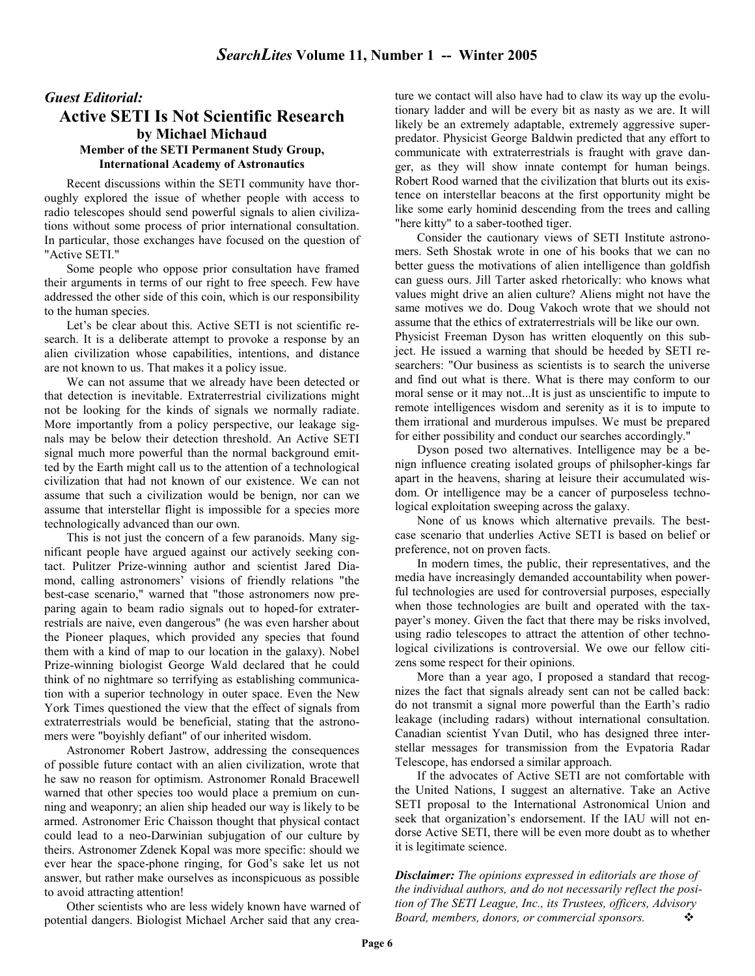### *Guest Editorial:*  **Active SETI Is Not Scientific Research by Michael Michaud Member of the SETI Permanent Study Group, International Academy of Astronautics**

Recent discussions within the SETI community have thoroughly explored the issue of whether people with access to radio telescopes should send powerful signals to alien civilizations without some process of prior international consultation. In particular, those exchanges have focused on the question of "Active SETI."

Some people who oppose prior consultation have framed their arguments in terms of our right to free speech. Few have addressed the other side of this coin, which is our responsibility to the human species.

Let's be clear about this. Active SETI is not scientific research. It is a deliberate attempt to provoke a response by an alien civilization whose capabilities, intentions, and distance are not known to us. That makes it a policy issue.

We can not assume that we already have been detected or that detection is inevitable. Extraterrestrial civilizations might not be looking for the kinds of signals we normally radiate. More importantly from a policy perspective, our leakage signals may be below their detection threshold. An Active SETI signal much more powerful than the normal background emitted by the Earth might call us to the attention of a technological civilization that had not known of our existence. We can not assume that such a civilization would be benign, nor can we assume that interstellar flight is impossible for a species more technologically advanced than our own.

This is not just the concern of a few paranoids. Many significant people have argued against our actively seeking contact. Pulitzer Prize-winning author and scientist Jared Diamond, calling astronomers' visions of friendly relations "the best-case scenario," warned that "those astronomers now preparing again to beam radio signals out to hoped-for extraterrestrials are naive, even dangerous" (he was even harsher about the Pioneer plaques, which provided any species that found them with a kind of map to our location in the galaxy). Nobel Prize-winning biologist George Wald declared that he could think of no nightmare so terrifying as establishing communication with a superior technology in outer space. Even the New York Times questioned the view that the effect of signals from extraterrestrials would be beneficial, stating that the astronomers were "boyishly defiant" of our inherited wisdom.

Astronomer Robert Jastrow, addressing the consequences of possible future contact with an alien civilization, wrote that he saw no reason for optimism. Astronomer Ronald Bracewell warned that other species too would place a premium on cunning and weaponry; an alien ship headed our way is likely to be armed. Astronomer Eric Chaisson thought that physical contact could lead to a neo-Darwinian subjugation of our culture by theirs. Astronomer Zdenek Kopal was more specific: should we ever hear the space-phone ringing, for God's sake let us not answer, but rather make ourselves as inconspicuous as possible to avoid attracting attention!

Other scientists who are less widely known have warned of potential dangers. Biologist Michael Archer said that any creature we contact will also have had to claw its way up the evolutionary ladder and will be every bit as nasty as we are. It will likely be an extremely adaptable, extremely aggressive superpredator. Physicist George Baldwin predicted that any effort to communicate with extraterrestrials is fraught with grave danger, as they will show innate contempt for human beings. Robert Rood warned that the civilization that blurts out its existence on interstellar beacons at the first opportunity might be like some early hominid descending from the trees and calling "here kitty" to a saber-toothed tiger.

Consider the cautionary views of SETI Institute astronomers. Seth Shostak wrote in one of his books that we can no better guess the motivations of alien intelligence than goldfish can guess ours. Jill Tarter asked rhetorically: who knows what values might drive an alien culture? Aliens might not have the same motives we do. Doug Vakoch wrote that we should not assume that the ethics of extraterrestrials will be like our own. Physicist Freeman Dyson has written eloquently on this subject. He issued a warning that should be heeded by SETI researchers: "Our business as scientists is to search the universe and find out what is there. What is there may conform to our moral sense or it may not...It is just as unscientific to impute to remote intelligences wisdom and serenity as it is to impute to them irrational and murderous impulses. We must be prepared for either possibility and conduct our searches accordingly."

Dyson posed two alternatives. Intelligence may be a benign influence creating isolated groups of philsopher-kings far apart in the heavens, sharing at leisure their accumulated wisdom. Or intelligence may be a cancer of purposeless technological exploitation sweeping across the galaxy.

None of us knows which alternative prevails. The bestcase scenario that underlies Active SETI is based on belief or preference, not on proven facts.

In modern times, the public, their representatives, and the media have increasingly demanded accountability when powerful technologies are used for controversial purposes, especially when those technologies are built and operated with the taxpayer's money. Given the fact that there may be risks involved, using radio telescopes to attract the attention of other technological civilizations is controversial. We owe our fellow citizens some respect for their opinions.

More than a year ago, I proposed a standard that recognizes the fact that signals already sent can not be called back: do not transmit a signal more powerful than the Earth's radio leakage (including radars) without international consultation. Canadian scientist Yvan Dutil, who has designed three interstellar messages for transmission from the Evpatoria Radar Telescope, has endorsed a similar approach.

If the advocates of Active SETI are not comfortable with the United Nations, I suggest an alternative. Take an Active SETI proposal to the International Astronomical Union and seek that organization's endorsement. If the IAU will not endorse Active SETI, there will be even more doubt as to whether it is legitimate science.

*Disclaimer: The opinions expressed in editorials are those of the individual authors, and do not necessarily reflect the position of The SETI League, Inc., its Trustees, officers, Advisory Board, members, donors, or commercial sponsors.*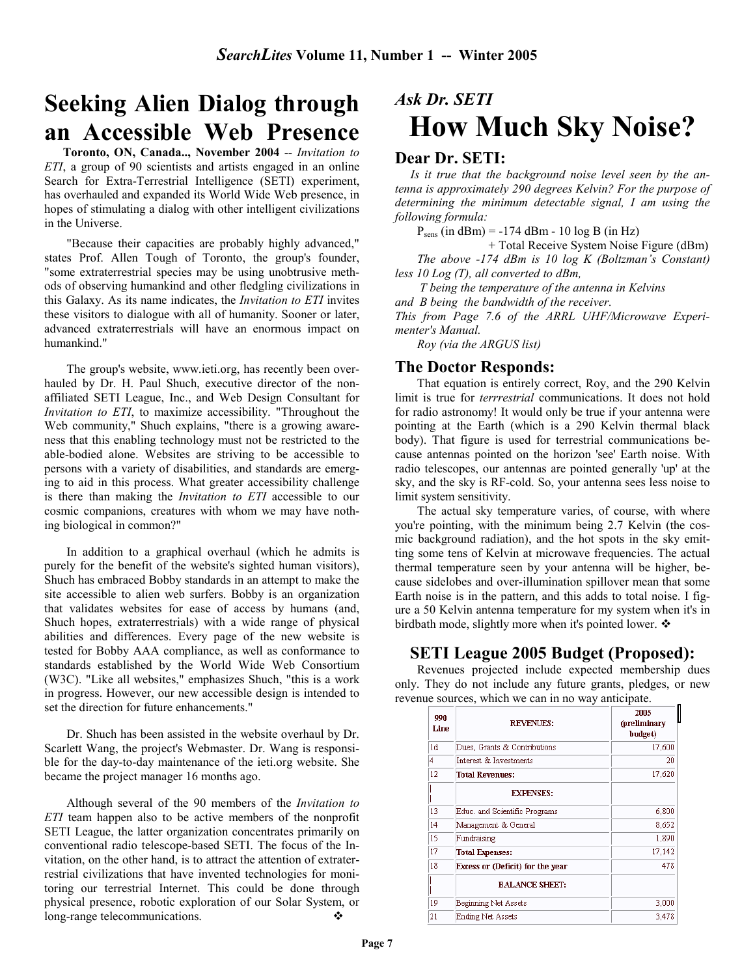# **Seeking Alien Dialog through an Accessible Web Presence**

 **Toronto, ON, Canada.., November 2004** -- *Invitation to ETI*, a group of 90 scientists and artists engaged in an online Search for Extra-Terrestrial Intelligence (SETI) experiment, has overhauled and expanded its World Wide Web presence, in hopes of stimulating a dialog with other intelligent civilizations in the Universe.

"Because their capacities are probably highly advanced," states Prof. Allen Tough of Toronto, the group's founder, "some extraterrestrial species may be using unobtrusive methods of observing humankind and other fledgling civilizations in this Galaxy. As its name indicates, the *Invitation to ETI* invites these visitors to dialogue with all of humanity. Sooner or later, advanced extraterrestrials will have an enormous impact on humankind."

The group's website, www.ieti.org, has recently been overhauled by Dr. H. Paul Shuch, executive director of the nonaffiliated SETI League, Inc., and Web Design Consultant for *Invitation to ETI*, to maximize accessibility. "Throughout the Web community," Shuch explains, "there is a growing awareness that this enabling technology must not be restricted to the able-bodied alone. Websites are striving to be accessible to persons with a variety of disabilities, and standards are emerging to aid in this process. What greater accessibility challenge is there than making the *Invitation to ETI* accessible to our cosmic companions, creatures with whom we may have nothing biological in common?"

In addition to a graphical overhaul (which he admits is purely for the benefit of the website's sighted human visitors), Shuch has embraced Bobby standards in an attempt to make the site accessible to alien web surfers. Bobby is an organization that validates websites for ease of access by humans (and, Shuch hopes, extraterrestrials) with a wide range of physical abilities and differences. Every page of the new website is tested for Bobby AAA compliance, as well as conformance to standards established by the World Wide Web Consortium (W3C). "Like all websites," emphasizes Shuch, "this is a work in progress. However, our new accessible design is intended to set the direction for future enhancements."

Dr. Shuch has been assisted in the website overhaul by Dr. Scarlett Wang, the project's Webmaster. Dr. Wang is responsible for the day-to-day maintenance of the ieti.org website. She became the project manager 16 months ago.

Although several of the 90 members of the *Invitation to ETI* team happen also to be active members of the nonprofit SETI League, the latter organization concentrates primarily on conventional radio telescope-based SETI. The focus of the Invitation, on the other hand, is to attract the attention of extraterrestrial civilizations that have invented technologies for monitoring our terrestrial Internet. This could be done through physical presence, robotic exploration of our Solar System, or long-range telecommunications. ❖

# *Ask Dr. SETI*  **How Much Sky Noise?**

### **Dear Dr. SETI:**

 *Is it true that the background noise level seen by the antenna is approximately 290 degrees Kelvin? For the purpose of determining the minimum detectable signal, I am using the following formula:*

 $P<sub>sens</sub>$  (in dBm) = -174 dBm - 10 log B (in Hz)

+ Total Receive System Noise Figure (dBm)

*The above -174 dBm is 10 log K (Boltzman's Constant) less 10 Log (T), all converted to dBm,*

 *T being the temperature of the antenna in Kelvins and B being the bandwidth of the receiver.*

*This from Page 7.6 of the ARRL UHF/Microwave Experimenter's Manual.* 

*Roy (via the ARGUS list)* 

### **The Doctor Responds:**

That equation is entirely correct, Roy, and the 290 Kelvin limit is true for *terrrestrial* communications. It does not hold for radio astronomy! It would only be true if your antenna were pointing at the Earth (which is a 290 Kelvin thermal black body). That figure is used for terrestrial communications because antennas pointed on the horizon 'see' Earth noise. With radio telescopes, our antennas are pointed generally 'up' at the sky, and the sky is RF-cold. So, your antenna sees less noise to limit system sensitivity.

The actual sky temperature varies, of course, with where you're pointing, with the minimum being 2.7 Kelvin (the cosmic background radiation), and the hot spots in the sky emitting some tens of Kelvin at microwave frequencies. The actual thermal temperature seen by your antenna will be higher, because sidelobes and over-illumination spillover mean that some Earth noise is in the pattern, and this adds to total noise. I figure a 50 Kelvin antenna temperature for my system when it's in birdbath mode, slightly more when it's pointed lower.  $\triangle$ 

### **SETI League 2005 Budget (Proposed):**

Revenues projected include expected membership dues only. They do not include any future grants, pledges, or new revenue sources, which we can in no way anticipate.

| 990<br>Line | <b>REVENUES:</b>                 | 2005<br>(preliminary<br>budget) |
|-------------|----------------------------------|---------------------------------|
| 1d          | Dues, Grants & Contributions     | 17,600                          |
| 4           | Interest & Investments           | 20                              |
| 12          | <b>Total Revenues:</b>           | 17,620                          |
|             | <b>EXPENSES:</b>                 |                                 |
| 13          | Educ. and Scientific Programs    | 6,800                           |
| 14          | Management & General             | 8,652                           |
| 15          | Fundraising                      | 1,890                           |
| 17          | <b>Total Expenses:</b>           | 17,142                          |
| 18          | Excess or (Deficit) for the year | 478                             |
|             | <b>BALANCE SHEET:</b>            |                                 |
| 19          | Beginning Net Assets             | 3,000                           |
| 21          | Ending Net Assets                | 3.478                           |